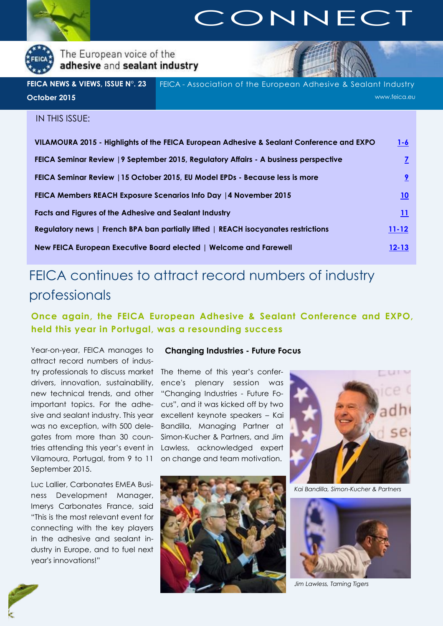<span id="page-0-0"></span>

# **CONNECT**

The European voice of the adhesive and sealant industry

FEICA - Association of the European Adhesive & Sealant Industry www.feica.eu **FEICA NEWS & VIEWS, ISSUE N°. 23 October 2015**

# IN THIS ISSUE:

| VILAMOURA 2015 - Highlights of the FEICA European Adhesive & Sealant Conference and EXPO | $1 - 6$    |
|------------------------------------------------------------------------------------------|------------|
| FEICA Seminar Review   9 September 2015, Regulatory Affairs - A business perspective     |            |
| FEICA Seminar Review   15 October 2015, EU Model EPDs - Because less is more             |            |
| FEICA Members REACH Exposure Scenarios Info Day   4 November 2015                        | 10         |
| Facts and Figures of the Adhesive and Sealant Industry                                   | <u> 11</u> |
| Regulatory news   French BPA ban partially lifted   REACH isocyanates restrictions       | $11 - 12$  |
| New FEICA European Executive Board elected   Welcome and Farewell                        | $12 - 13$  |

# FEICA continues to attract record numbers of industry professionals

**Once again, the FEICA European Adhesive & Sealant Conference and EXPO, held this year in Portugal, was a resounding success**

Year-on-year, FEICA manages to attract record numbers of industry professionals to discuss market The theme of this year's conferdrivers, innovation, sustainability, ence's plenary session was new technical trends, and other important topics. For the adhe-cus", and it was kicked off by two sive and sealant industry. This year excellent keynote speakers – Kai was no exception, with 500 delegates from more than 30 coun-Simon-Kucher & Partners, and Jim tries attending this year's event in Lawless, acknowledged expert Vilamoura, Portugal, from 9 to 11 September 2015.

Luc Lallier, Carbonates EMEA Business Development Manager, Imerys Carbonates France, said "This is the most relevant event for connecting with the key players in the adhesive and sealant industry in Europe, and to fuel next year's innovations!"

## **Changing Industries - Future Focus**

"Changing Industries - Future Fo-Bandilla, Managing Partner at on change and team motivation.





*Kai Bandilla, Simon-Kucher & Partners*



*Jim Lawless, Taming Tigers*

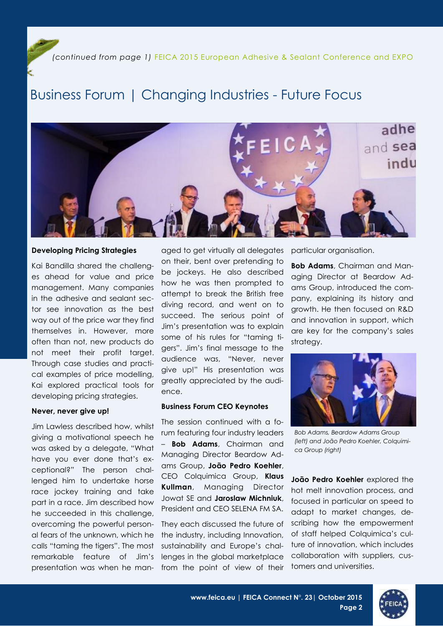# Business Forum | Changing Industries - Future Focus



## **Developing Pricing Strategies**

Kai Bandilla shared the challenges ahead for value and price management. Many companies in the adhesive and sealant sector see innovation as the best way out of the price war they find themselves in. However, more often than not, new products do not meet their profit target. Through case studies and practical examples of price modelling, Kai explored practical tools for developing pricing strategies.

### **Never, never give up!**

Jim Lawless described how, whilst giving a motivational speech he was asked by a delegate, "What have you ever done that's exceptional?" The person challenged him to undertake horse race jockey training and take part in a race. Jim described how he succeeded in this challenge, overcoming the powerful personal fears of the unknown, which he calls "taming the tigers". The most remarkable feature of Jim's presentation was when he managed to get virtually all delegates on their, bent over pretending to be jockeys. He also described how he was then prompted to attempt to break the British free diving record, and went on to succeed. The serious point of Jim's presentation was to explain some of his rules for "taming tigers". Jim's final message to the audience was, "Never, never give up!" His presentation was greatly appreciated by the audience.

## **Business Forum CEO Keynotes**

The session continued with a forum featuring four industry leaders – **Bob Adams**, Chairman and Managing Director Beardow Adams Group, **João Pedro Koehler**, CEO Colquimica Group, **Klaus Kullman**, Managing Director Jowat SE and **Jaroslaw Michniuk**, President and CEO SELENA FM SA.

They each discussed the future of the industry, including Innovation, sustainability and Europe's challenges in the global marketplace from the point of view of their particular organisation.

**Bob Adams**, Chairman and Managing Director at Beardow Adams Group, introduced the company, explaining its history and growth. He then focused on R&D and innovation in support, which are key for the company's sales strategy.



*Bob Adams, Beardow Adams Group (left) and João Pedro Koehler, Colquimica Group (right)*

**João Pedro Koehler** explored the hot melt innovation process, and focused in particular on speed to adapt to market changes, describing how the empowerment of staff helped Colquimica's culture of innovation, which includes collaboration with suppliers, customers and universities.

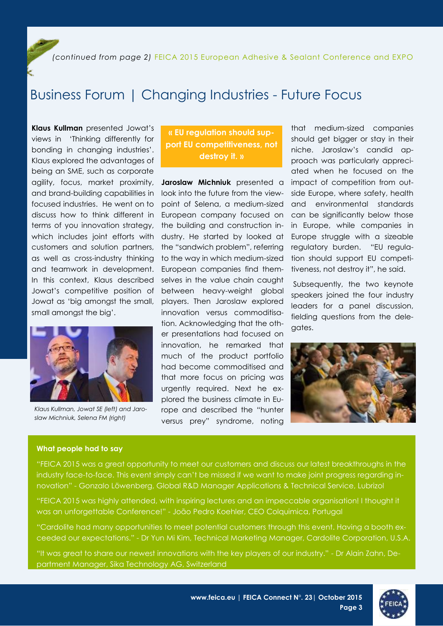*(continued from page 2)* FEICA 2015 European Adhesive & Sealant Conference and EXPO

# Business Forum | Changing Industries - Future Focus

**Klaus Kullman** presented Jowat's views in 'Thinking differently for bonding in changing industries'. Klaus explored the advantages of being an SME, such as corporate agility, focus, market proximity, and brand-building capabilities in focused industries. He went on to discuss how to think different in terms of you innovation strategy, which includes joint efforts with customers and solution partners, as well as cross-industry thinking and teamwork in development. In this context, Klaus described Jowat's competitive position of Jowat as 'big amongst the small, small amongst the big'.



*Klaus Kullman, Jowat SE (left) and Jaroslaw Michniuk, Selena FM (right)*

# **« EU regulation should support EU competitiveness, not destroy it. »**

**Jaroslaw Michniuk** presented a look into the future from the viewpoint of Selena, a medium-sized European company focused on the building and construction industry. He started by looked at the "sandwich problem", referring to the way in which medium-sized European companies find themselves in the value chain caught between heavy-weight global players. Then Jaroslaw explored innovation versus commoditisation. Acknowledging that the other presentations had focused on innovation, he remarked that much of the product portfolio had become commoditised and that more focus on pricing was urgently required. Next he explored the business climate in Europe and described the "hunter versus prey" syndrome, noting

that medium-sized companies should get bigger or stay in their niche. Jaroslaw's candid approach was particularly appreciated when he focused on the impact of competition from outside Europe, where safety, health and environmental standards can be significantly below those in Europe, while companies in Europe struggle with a sizeable regulatory burden. "EU regulation should support EU competitiveness, not destroy it", he said.

Subsequently, the two keynote speakers joined the four industry leaders for a panel discussion, fielding questions from the delegates.



## **What people had to say**

"FEICA 2015 was a great opportunity to meet our customers and discuss our latest breakthroughs in the industry face-to-face. This event simply can't be missed if we want to make joint progress regarding innovation" - Gonzalo Löwenberg, Global R&D Manager Applications & Technical Service, Lubrizol

"FEICA 2015 was highly attended, with inspiring lectures and an impeccable organisation! I thought it was an unforgettable Conference!" - João Pedro Koehler, CEO Colquimica, Portugal

"Cardolite had many opportunities to meet potential customers through this event. Having a booth exceeded our expectations." - Dr Yun Mi Kim, Technical Marketing Manager, Cardolite Corporation, U.S.A.

"It was great to share our newest innovations with the key players of our industry." - Dr Alain Zahn, Department Manager, Sika Technology AG, Switzerland

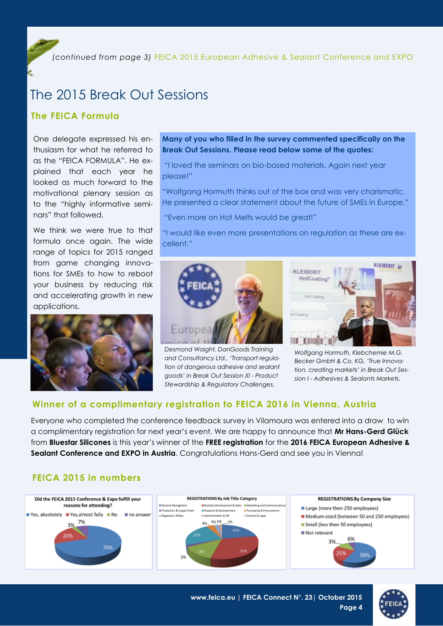*(continued from page 3)* FEICA 2015 European Adhesive & Sealant Conference and EXPO

# The 2015 Break Out Sessions

# **The FEICA Formula**

One delegate expressed his enthusiasm for what he referred to as the "FEICA FORMULA". He explained that each year he looked as much forward to the motivational plenary session as to the "highly informative seminars" that followed.

We think we were true to that formula once again. The wide range of topics for 2015 ranged from game changing innovations for SMEs to how to reboot your business by reducing risk and accelerating growth in new applications.



# **Many of you who filled in the survey commented specifically on the Break Out Sessions. Please read below some of the quotes:**

"I loved the seminars on bio-based materials. Again next year please!"

"Wolfgang Hormuth thinks out of the box and was very charismatic. He presented a clear statement about the future of SMEs in Europe."

"Even more on Hot Melts would be great!"

"I would like even more presentations on regulation as these are excellent."



*Desmond Waight, DanGoods Training and Consultancy Ltd., 'Transport regulation of dangerous adhesive and sealant goods' in Break Out Session XI - Product Stewardship & Regulatory Challenges.*



*Wolfgang Hormuth, Klebchemie M.G. Becker GmbH & Co. KG, 'True Innovation, creating markets' in Break Out Session I - Adhesives & Sealants Markets.*

# **Winner of a complimentary registration to FEICA 2016 in Vienna, Austria**

Everyone who completed the conference feedback survey in Vilamoura was entered into a draw to win a complimentary registration for next year's event. We are happy to announce that **Mr Hans-Gerd Glück**  from **Bluestar Silicones** is this year's winner of the **FREE registration** for the **2016 FEICA European Adhesive & Sealant Conference and EXPO in Austria**. Congratulations Hans-Gerd and see you in Vienna!

# **FEICA 2015 in numbers**



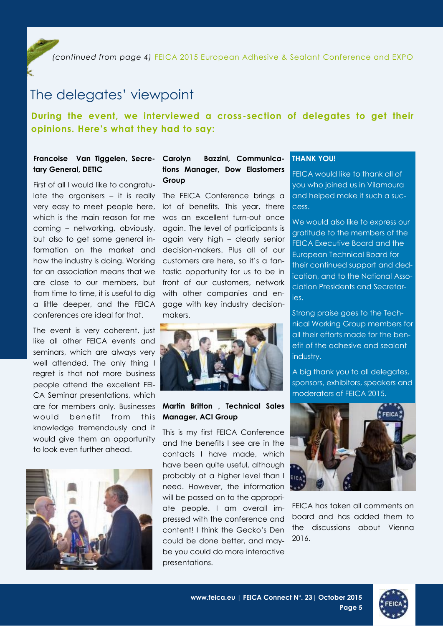*(continued from page 4)* FEICA 2015 European Adhesive & Sealant Conference and EXPO

# The delegates' viewpoint

# **During the event, we interviewed a cross-section of delegates to get their opinions. Here's what they had to say:**

# **Francoise Van Tiggelen, Secretary General, DETIC**

First of all I would like to congratulate the organisers – it is really The FEICA Conference brings a very easy to meet people here, coming – networking, obviously, again. The level of participants is but also to get some general information on the market and decision-makers. Plus all of our how the industry is doing. Working customers are here, so it's a fanfor an association means that we tastic opportunity for us to be in are close to our members, but front of our customers, network from time to time, it is useful to dig a little deeper, and the FEICA conferences are ideal for that.

The event is very coherent, just like all other FEICA events and seminars, which are always very well attended. The only thing I regret is that not more business people attend the excellent FEI-CA Seminar presentations, which would benefit from this knowledge tremendously and it would give them an opportunity to look even further ahead.



# Bazzini, Communica**tions Manager, Dow Elastomers Group**

which is the main reason for me was an excellent turn-out once lot of benefits. This year, there again very high – clearly senior with other companies and engage with key industry decisionmakers.



## are for members only. Businesses **Martin Britton , Technical Sales Manager, ACI Group**

This is my first FEICA Conference and the benefits I see are in the contacts I have made, which have been quite useful, although probably at a higher level than I need. However, the information will be passed on to the appropriate people. I am overall impressed with the conference and content! I think the Gecko's Den could be done better, and maybe you could do more interactive presentations.

## **THANK YOU!**

FEICA would like to thank all of you who joined us in Vilamoura and helped make it such a success.

We would also like to express our gratitude to the members of the FEICA Executive Board and the European Technical Board for their continued support and dedication, and to the National Association Presidents and Secretaries.

Strong praise goes to the Technical Working Group members for all their efforts made for the benefit of the adhesive and sealant industry.

A big thank you to all delegates, sponsors, exhibitors, speakers and moderators of FEICA 2015.



FEICA has taken all comments on board and has added them to the discussions about Vienna 2016.



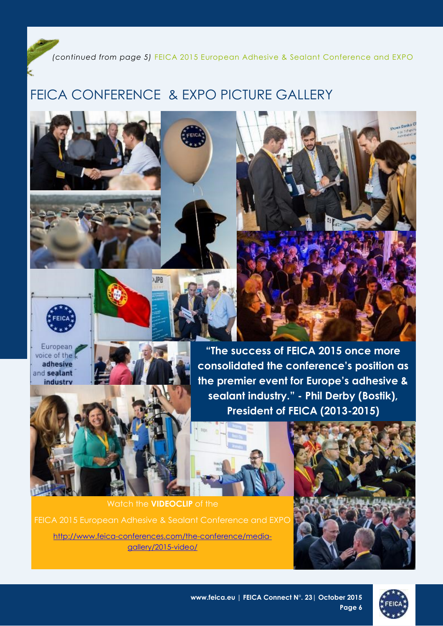*(continued from page 5)* FEICA 2015 European Adhesive & Sealant Conference and EXPO

# FEICA CONFERENCE & EXPO PICTURE GALLERY







European voice of the adhesive and sealant industry



**"The success of FEICA 2015 once more consolidated the conference's position as the premier event for Europe's adhesive & sealant industry." - Phil Derby (Bostik), President of FEICA (2013-2015)**



Watch the **VIDEOCLIP** of the [http://www.feica-conferences.com/the-conference/media](http://www.feica-conferences.com/the-conference/media-gallery/2015-video/)[gallery/2015-video/](http://www.feica-conferences.com/the-conference/media-gallery/2015-video/)





Shows Decko C

**www.feica.eu | FEICA Connect N°. 23| October 2015 Page 6**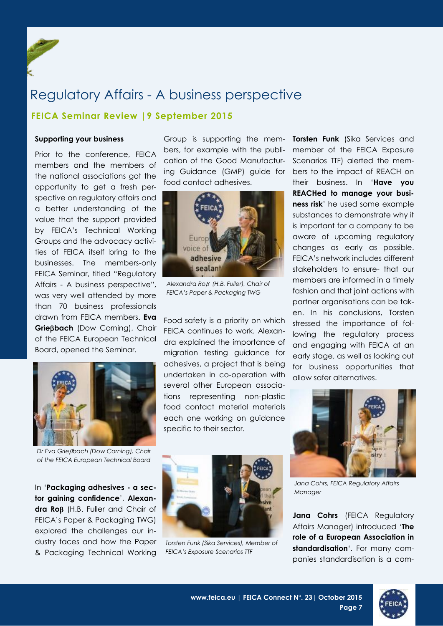<span id="page-6-0"></span>

# **FEICA Seminar Review |9 September 2015**

### **Supporting your business**

Prior to the conference, FEICA members and the members of the national associations got the opportunity to get a fresh perspective on regulatory affairs and a better understanding of the value that the support provided by FEICA's Technical Working Groups and the advocacy activities of FEICA itself bring to the businesses. The members-only FEICA Seminar, titled "Regulatory Affairs - A business perspective", was very well attended by more than 70 business professionals drawn from FEICA members. **Eva Griebach** (Dow Corning), Chair of the FEICA European Technical Board, opened the Seminar.



*Dr Eva Griebach (Dow Corning), Chair of the FEICA European Technical Board*

In '**Packaging adhesives - a sector gaining confidence**', **Alexan**dra Roß (H.B. Fuller and Chair of FEICA's Paper & Packaging TWG) explored the challenges our industry faces and how the Paper & Packaging Technical Working

bers, for example with the publifood contact adhesives.



*Alexandra Ro (H.B. Fuller), Chair of FEICA's Paper & Packaging TWG*

Food safety is a priority on which FEICA continues to work. Alexandra explained the importance of migration testing guidance for adhesives, a project that is being undertaken in co-operation with several other European associations representing non-plastic food contact material materials each one working on guidance specific to their sector.



*Torsten Funk (Sika Services), Member of FEICA's Exposure Scenarios TTF*

Group is supporting the mem-**Torsten Funk** (Sika Services and cation of the Good Manufactur-Scenarios TTF) alerted the meming Guidance (GMP) guide for bers to the impact of REACH on member of the FEICA Exposure their business. In '**Have you REACHed to manage your business risk**' he used some example substances to demonstrate why it is important for a company to be aware of upcoming regulatory changes as early as possible. FEICA's network includes different stakeholders to ensure- that our members are informed in a timely fashion and that joint actions with partner organisations can be taken. In his conclusions, Torsten stressed the importance of following the regulatory process and engaging with FEICA at an early stage, as well as looking out for business opportunities that allow safer alternatives.



*Jana Cohrs, FEICA Regulatory Affairs Manager*

**Jana Cohrs** (FEICA Regulatory Affairs Manager) introduced '**The role of a European Association in standardisation**'. For many companies standardisation is a com-

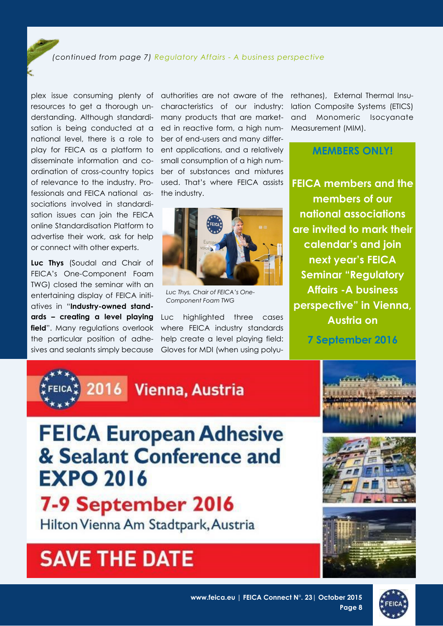## *(continued from page 7) Regulatory Affairs - A business perspective*

plex issue consuming plenty of resources to get a thorough understanding. Although standardisation is being conducted at a national level, there is a role to play for FEICA as a platform to disseminate information and coordination of cross-country topics of relevance to the industry. Professionals and FEICA national associations involved in standardisation issues can join the FEICA online Standardisation Platform to advertise their work, ask for help or connect with other experts.

**Luc Thys** (Soudal and Chair of FEICA's One-Component Foam TWG) closed the seminar with an entertaining display of FEICA initiatives in "**Industry-owned standards – creating a level playing**  field". Many regulations overlook the particular position of adhesives and sealants simply because

authorities are not aware of the characteristics of our industry: many products that are marketed in reactive form, a high number of end-users and many different applications, and a relatively small consumption of a high number of substances and mixtures used. That's where FEICA assists the industry.



*Luc Thys, Chair of FEICA's One-Component Foam TWG*

Luc highlighted three cases where FEICA industry standards help create a level playing field: Gloves for MDI (when using polyurethanes), External Thermal Insulation Composite Systems (ETICS) and Monomeric Isocyanate Measurement (MIM).

# **MEMBERS ONLY!**

**FEICA members and the members of our national associations are invited to mark their calendar's and join next year's FEICA Seminar "Regulatory Affairs -A business perspective" in Vienna, Austria on** 

**7 September 2016**





# **FEICA European Adhesive** & Sealant Conference and **EXPO 2016**

# 7-9 September 2016

Hilton Vienna Am Stadtpark, Austria

# **SAVE THE DATE**



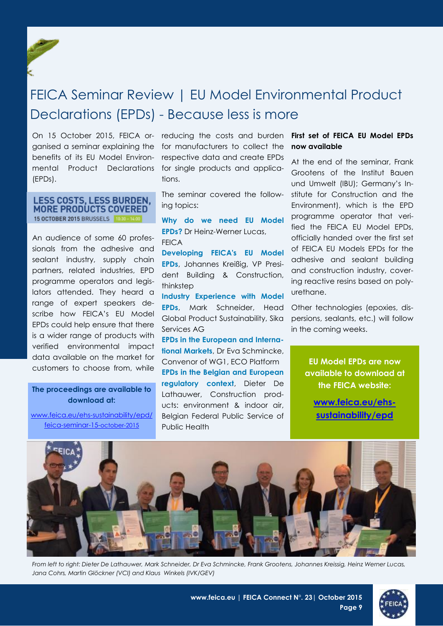<span id="page-8-0"></span>

# FEICA Seminar Review | EU Model Environmental Product Declarations (EPDs) - Because less is more

On 15 October 2015, FEICA organised a seminar explaining the benefits of its EU Model Environmental Product Declarations (EPDs).

## **LESS COSTS, LESS BURDEN. MORE PRODUCTS COVERED** 15 OCTOBER 2015 BRUSSELS 1030

An audience of some 60 professionals from the adhesive and sealant industry, supply chain partners, related industries, EPD programme operators and legislators attended. They heard a range of expert speakers describe how FEICA's EU Model EPDs could help ensure that there is a wider range of products with verified environmental impact data available on the market for customers to choose from, while

**The proceedings are available to download at:** 

[www.feica.eu/ehs-sustainability/epd/](http://www.feica.eu/ehs-sustainability/epd/feica-seminar-15-october-2015) [feica-seminar-15-](http://www.feica.eu/ehs-sustainability/epd/feica-seminar-15-october-2015)october-2015

reducing the costs and burden for manufacturers to collect the respective data and create EPDs for single products and applications.

The seminar covered the following topics:

**Why do we need EU Model EPDs?** Dr Heinz-Werner Lucas, FEICA

**Developing FEICA's EU Model EPDs**, Johannes Kreißig, VP President Building & Construction, thinkstep

**Industry Experience with Model EPDs**, Mark Schneider, Head Global Product Sustainability, Sika Services AG

**EPDs in the European and International Markets**, Dr Eva Schmincke, Convenor of WG1, ECO Platform **EPDs in the Belgian and European regulatory context**, Dieter De Lathauwer, Construction products: environment & indoor air, Belgian Federal Public Service of Public Health

## **First set of FEICA EU Model EPDs now available**

At the end of the seminar, Frank Grootens of the Institut Bauen und Umwelt (IBU); Germany's Institute for Construction and the Environment), which is the EPD programme operator that verified the FEICA EU Model EPDs, officially handed over the first set of FEICA EU Models EPDs for the adhesive and sealant building and construction industry, covering reactive resins based on polyurethane.

Other technologies (epoxies, dispersions, sealants, etc.) will follow in the coming weeks.

> **EU Model EPDs are now available to download at the FEICA website:**

**[www.feica.eu/ehs](http://www.feica.eu/ehs-sustainability/epd/european-core-model-epds-released)[sustainability/epd](http://www.feica.eu/ehs-sustainability/epd/european-core-model-epds-released)**



*From left to right: Dieter De Lathauwer, Mark Schneider, Dr Eva Schmincke, Frank Grootens, Johannes Kreissig, Heinz Werner Lucas, Jana Cohrs, Martin Glöckner (VCI) and Klaus Winkels (IVK/GEV)*



**Page 9**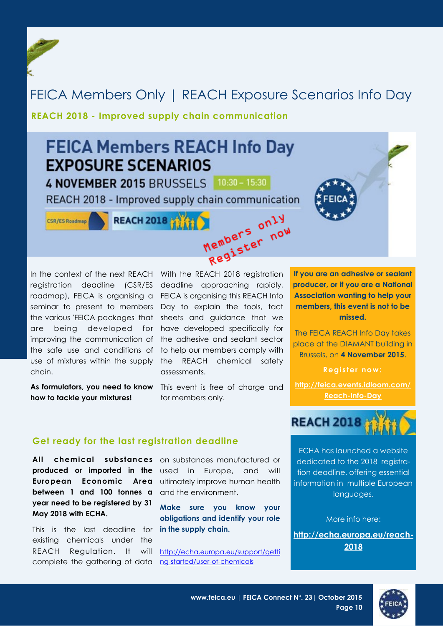# <span id="page-9-0"></span>FEICA Members Only | REACH Exposure Scenarios Info Day

# **REACH 2018 - Improved supply chain communication**



registration deadline (CSR/ES roadmap), FEICA is organising a FEICA is organising this REACH Info seminar to present to members Day to explain the tools, fact the various 'FEICA packages' that are being developed for have developed specifically for improving the communication of the adhesive and sealant sector the safe use and conditions of to help our members comply with use of mixtures within the supply the REACH chemical safety chain.

**how to tackle your mixtures!** 

In the context of the next REACH With the REACH 2018 registration deadline approaching rapidly, sheets and guidance that we assessments.

**As formulators, you need to know**  This event is free of charge and for members only.

**If you are an adhesive or sealant producer, or if you are a National Association wanting to help your members, this event is not to be missed.**

The FEICA REACH Info Day takes place at the DIAMANT building in Brussels, on **4 November 2015**.

**Register now:**

**[http://feica.events.idloom.com/](http://feica.events.idloom.com/Reach-Info-Day) [Reach-Info-Day](http://feica.events.idloom.com/Reach-Info-Day)**

# **Get ready for the last registration deadline**

**All chemical substances**  on substances manufactured or **produced or imported in the**  used in Europe, and will **European Economic Area between 1 and 100 tonnes a** and the environment. **year need to be registered by 31 May 2018 with ECHA.** 

This is the last deadline for existing chemicals under the REACH Regulation. It complete the gathering of data [ng-started/user-of-chemicals](http://echa.europa.eu/support/getting-started/user-of-chemicals)

ultimately improve human health

**Make sure you know your obligations and identify your role in the supply chain.**

will [http://echa.europa.eu/support/getti](http://echa.europa.eu/support/getting-started/user-of-chemicals)



ECHA has launched a website dedicated to the 2018 registration deadline, offering essential information in multiple European languages.

More info here:

**[http://echa.europa.eu/reach-](http://echa.europa.eu/reach-2018)[2018](http://echa.europa.eu/reach-2018)**



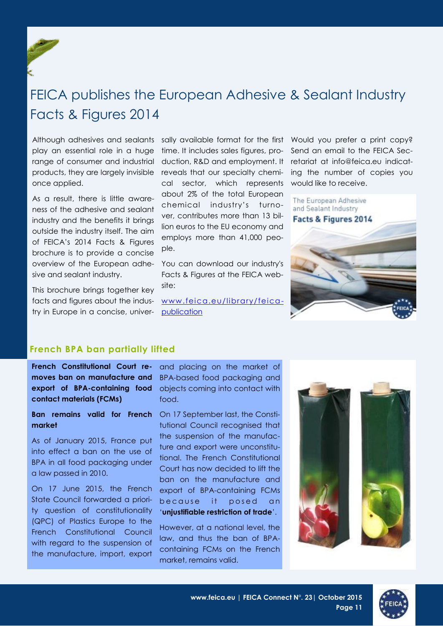<span id="page-10-0"></span>

# FEICA publishes the European Adhesive & Sealant Industry Facts & Figures 2014

Although adhesives and sealants play an essential role in a huge range of consumer and industrial products, they are largely invisible once applied.

As a result, there is little awareness of the adhesive and sealant industry and the benefits it brings outside the industry itself. The aim of FEICA's 2014 Facts & Figures brochure is to provide a concise overview of the European adhesive and sealant industry.

This brochure brings together key facts and figures about the industry in Europe in a concise, univer-

sally available format for the first time. It includes sales figures, production, R&D and employment. It reveals that our specialty chemical sector, which represents about 2% of the total European chemical industry's turnover, contributes more than 13 billion euros to the EU economy and employs more than 41,000 people.

You can download our industry's Facts & Figures at the FEICA website:

[www.feica.eu/library/feica](http://www.feica.eu/library/feica-publication)[publication](http://www.feica.eu/library/feica-publication)

Would you prefer a print copy? Send an email to the FFICA Secretariat at info@feica.eu indicating the number of copies you would like to receive.

The European Adhesive and Sealant Industry Facts & Figures 2014



# **French BPA ban partially lifted**

**French Constitutional Court removes ban on manufacture and export of BPA-containing food contact materials (FCMs)**

**Ban remains valid for French market**

As of January 2015, France put into effect a ban on the use of BPA in all food packaging under a law passed in 2010.

On 17 June 2015, the French State Council forwarded a priority question of constitutionality (QPC) of Plastics Europe to the French Constitutional Council with regard to the suspension of the manufacture, import, export

and placing on the market of BPA-based food packaging and objects coming into contact with food.

On 17 September last, the Constitutional Council recognised that the suspension of the manufacture and export were unconstitutional. The French Constitutional Court has now decided to lift the ban on the manufacture and export of BPA-containing FCMs because it posed an '**unjustifiable restriction of trade**'.

However, at a national level, the law, and thus the ban of BPAcontaining FCMs on the French market, remains valid.



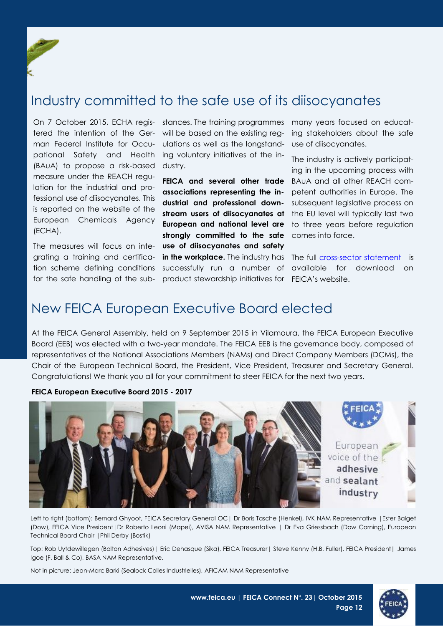<span id="page-11-0"></span>

# Industry committed to the safe use of its diisocyanates

On 7 October 2015, ECHA regis-stances. The training programmes tered the intention of the Ger-will be based on the existing regman Federal Institute for Occu-ulations as well as the longstandpational Safety and Health ing voluntary initiatives of the in-(BAuA) to propose a risk-based dustry. measure under the REACH regulation for the industrial and professional use of diisocyanates. This is reported on the website of the European Chemicals Agency (ECHA).

for the safe handling of the sub-product stewardship initiatives for FEICA's website.

The measures will focus on inte-**use of diisocyanates and safety**  grating a training and certifica- **in the workplace.** The industry has The full [cross-sector statement](http://www.feica.eu/library/position-papers/diisocyantes) is tion scheme defining conditions successfully run a number of available for download on **FEICA and several other trade associations representing the industrial and professional down-European and national level are strongly committed to the safe**  comes into force.

many years focused on educating stakeholders about the safe use of diisocyanates.

**stream users of diisocyanates at**  the EU level will typically last two The industry is actively participating in the upcoming process with BAuA and all other REACH competent authorities in Europe. The subsequent legislative process on to three years before regulation

# New FEICA European Executive Board elected

At the FEICA General Assembly, held on 9 September 2015 in Vilamoura, the FEICA European Executive Board (EEB) was elected with a two-year mandate. The FEICA EEB is the governance body, composed of representatives of the National Associations Members (NAMs) and Direct Company Members (DCMs), the Chair of the European Technical Board, the President, Vice President, Treasurer and Secretary General. Congratulations! We thank you all for your commitment to steer FEICA for the next two years.

## **FEICA European Executive Board 2015 - 2017**



Left to right (bottom): Bernard Ghyoot, FEICA Secretary General OC | Dr Boris Tasche (Henkel), IVK NAM Representative | Ester Baiget (Dow), FEICA Vice President|Dr Roberto Leoni (Mapei), AVISA NAM Representative | Dr Eva Griessbach (Dow Corning), European Technical Board Chair |Phil Derby (Bostik)

Top: Rob Uytdewillegen (Bolton Adhesives)| Eric Dehasque (Sika), FEICA Treasurer| Steve Kenny (H.B. Fuller), FEICA President| James Igoe (F. Ball & Co), BASA NAM Representative.

Not in picture: Jean-Marc Barki (Sealock Colles Industrielles), AFICAM NAM Representative